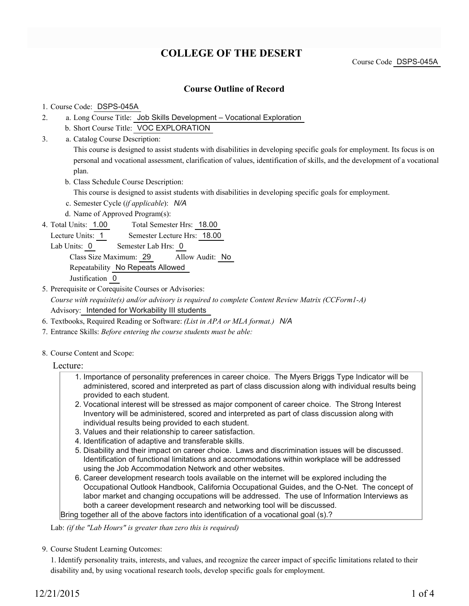# **COLLEGE OF THE DESERT**

Course Code DSPS-045A

### **Course Outline of Record**

#### 1. Course Code: DSPS-045A

- a. Long Course Title: Job Skills Development Vocational Exploration 2.
	- b. Short Course Title: VOC EXPLORATION
- Catalog Course Description: a. 3.

This course is designed to assist students with disabilities in developing specific goals for employment. Its focus is on personal and vocational assessment, clarification of values, identification of skills, and the development of a vocational plan.

b. Class Schedule Course Description:

This course is designed to assist students with disabilities in developing specific goals for employment.

- c. Semester Cycle (*if applicable*): *N/A*
- d. Name of Approved Program(s):
- Total Semester Hrs: 18.00 4. Total Units: 1.00

Lecture Units: 1 Semester Lecture Hrs: 18.00

Lab Units: 0 Semester Lab Hrs: 0

Class Size Maximum: 29 Allow Audit: No

Repeatability No Repeats Allowed

Justification 0

5. Prerequisite or Corequisite Courses or Advisories:

*Course with requisite(s) and/or advisory is required to complete Content Review Matrix (CCForm1-A)* Advisory: Intended for Workability III students

- 6. Textbooks, Required Reading or Software: *(List in APA or MLA format.) N/A*
- 7. Entrance Skills: *Before entering the course students must be able:*
- 8. Course Content and Scope:
	- Lecture:
		- 1. Importance of personality preferences in career choice. The Myers Briggs Type Indicator will be administered, scored and interpreted as part of class discussion along with individual results being provided to each student.
		- 2. Vocational interest will be stressed as major component of career choice. The Strong Interest Inventory will be administered, scored and interpreted as part of class discussion along with individual results being provided to each student.
		- 3. Values and their relationship to career satisfaction.
		- 4. Identification of adaptive and transferable skills.
		- 5. Disability and their impact on career choice. Laws and discrimination issues will be discussed. Identification of functional limitations and accommodations within workplace will be addressed using the Job Accommodation Network and other websites.
		- 6. Career development research tools available on the internet will be explored including the Occupational Outlook Handbook, California Occupational Guides, and the O-Net. The concept of labor market and changing occupations will be addressed. The use of Information Interviews as both a career development research and networking tool will be discussed. Bring together all of the above factors into identification of a vocational goal (s).?

Lab: *(if the "Lab Hours" is greater than zero this is required)*

9. Course Student Learning Outcomes:

1. Identify personality traits, interests, and values, and recognize the career impact of specific limitations related to their disability and, by using vocational research tools, develop specific goals for employment.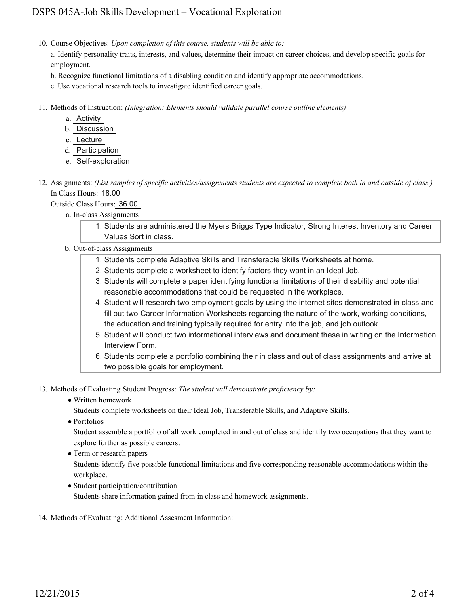## DSPS 045A-Job Skills Development – Vocational Exploration

10. Course Objectives: Upon completion of this course, students will be able to:

a. Identify personality traits, interests, and values, determine their impact on career choices, and develop specific goals for employment.

- b. Recognize functional limitations of a disabling condition and identify appropriate accommodations.
- c. Use vocational research tools to investigate identified career goals.
- Methods of Instruction: *(Integration: Elements should validate parallel course outline elements)* 11.
	- a. Activity
	- b. Discussion
	- c. Lecture
	- d. Participation
	- e. Self-exploration
- 12. Assignments: (List samples of specific activities/assignments students are expected to complete both in and outside of class.) In Class Hours: 18.00

Outside Class Hours: 36.00

- a. In-class Assignments
	- 1. Students are administered the Myers Briggs Type Indicator, Strong Interest Inventory and Career Values Sort in class.
- b. Out-of-class Assignments
	- 1. Students complete Adaptive Skills and Transferable Skills Worksheets at home.
	- 2. Students complete a worksheet to identify factors they want in an Ideal Job.
	- Students will complete a paper identifying functional limitations of their disability and potential 3. reasonable accommodations that could be requested in the workplace.
	- 4. Student will research two employment goals by using the internet sites demonstrated in class and fill out two Career Information Worksheets regarding the nature of the work, working conditions, the education and training typically required for entry into the job, and job outlook.
	- 5. Student will conduct two informational interviews and document these in writing on the Information Interview Form.
	- Students complete a portfolio combining their in class and out of class assignments and arrive at 6. two possible goals for employment.

13. Methods of Evaluating Student Progress: The student will demonstrate proficiency by:

- Written homework
	- Students complete worksheets on their Ideal Job, Transferable Skills, and Adaptive Skills.
- Portfolios

Student assemble a portfolio of all work completed in and out of class and identify two occupations that they want to explore further as possible careers.

• Term or research papers

Students identify five possible functional limitations and five corresponding reasonable accommodations within the workplace.

- Student participation/contribution Students share information gained from in class and homework assignments.
- 14. Methods of Evaluating: Additional Assesment Information: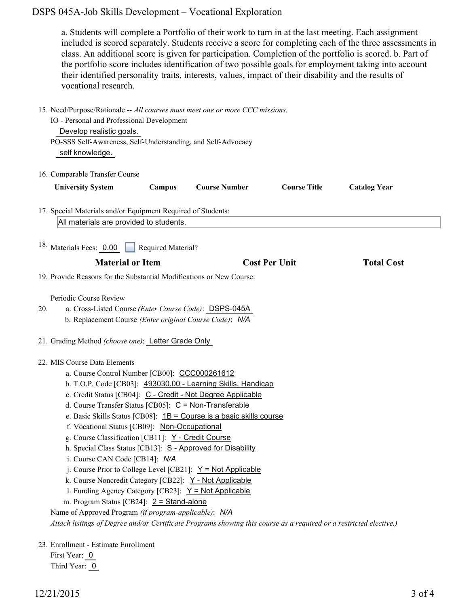### DSPS 045A-Job Skills Development – Vocational Exploration

a. Students will complete a Portfolio of their work to turn in at the last meeting. Each assignment included is scored separately. Students receive a score for completing each of the three assessments in class. An additional score is given for participation. Completion of the portfolio is scored. b. Part of the portfolio score includes identification of two possible goals for employment taking into account their identified personality traits, interests, values, impact of their disability and the results of vocational research.

|     | 15. Need/Purpose/Rationale -- All courses must meet one or more CCC missions.<br>IO - Personal and Professional Development<br>Develop realistic goals.<br>PO-SSS Self-Awareness, Self-Understanding, and Self-Advocacy<br>self knowledge.                                                                                                                                                                                                                                                                                                                                                                                                                                                                                                                                                                                                                                                                                                                               |
|-----|--------------------------------------------------------------------------------------------------------------------------------------------------------------------------------------------------------------------------------------------------------------------------------------------------------------------------------------------------------------------------------------------------------------------------------------------------------------------------------------------------------------------------------------------------------------------------------------------------------------------------------------------------------------------------------------------------------------------------------------------------------------------------------------------------------------------------------------------------------------------------------------------------------------------------------------------------------------------------|
|     | 16. Comparable Transfer Course                                                                                                                                                                                                                                                                                                                                                                                                                                                                                                                                                                                                                                                                                                                                                                                                                                                                                                                                           |
|     | <b>Course Title</b><br><b>University System</b><br>Campus<br><b>Course Number</b><br><b>Catalog Year</b>                                                                                                                                                                                                                                                                                                                                                                                                                                                                                                                                                                                                                                                                                                                                                                                                                                                                 |
|     | 17. Special Materials and/or Equipment Required of Students:                                                                                                                                                                                                                                                                                                                                                                                                                                                                                                                                                                                                                                                                                                                                                                                                                                                                                                             |
|     | All materials are provided to students.                                                                                                                                                                                                                                                                                                                                                                                                                                                                                                                                                                                                                                                                                                                                                                                                                                                                                                                                  |
|     | <sup>18.</sup> Materials Fees: 0.00<br>Required Material?                                                                                                                                                                                                                                                                                                                                                                                                                                                                                                                                                                                                                                                                                                                                                                                                                                                                                                                |
|     | <b>Material or Item</b><br><b>Cost Per Unit</b><br><b>Total Cost</b>                                                                                                                                                                                                                                                                                                                                                                                                                                                                                                                                                                                                                                                                                                                                                                                                                                                                                                     |
|     | 19. Provide Reasons for the Substantial Modifications or New Course:                                                                                                                                                                                                                                                                                                                                                                                                                                                                                                                                                                                                                                                                                                                                                                                                                                                                                                     |
| 20. | Periodic Course Review<br>a. Cross-Listed Course (Enter Course Code): DSPS-045A<br>b. Replacement Course (Enter original Course Code): N/A                                                                                                                                                                                                                                                                                                                                                                                                                                                                                                                                                                                                                                                                                                                                                                                                                               |
|     | 21. Grading Method (choose one): Letter Grade Only                                                                                                                                                                                                                                                                                                                                                                                                                                                                                                                                                                                                                                                                                                                                                                                                                                                                                                                       |
|     | 22. MIS Course Data Elements<br>a. Course Control Number [CB00]: CCC000261612<br>b. T.O.P. Code [CB03]: 493030.00 - Learning Skills, Handicap<br>c. Credit Status [CB04]: C - Credit - Not Degree Applicable<br>d. Course Transfer Status [CB05]: C = Non-Transferable<br>e. Basic Skills Status [CB08]: 1B = Course is a basic skills course<br>f. Vocational Status [CB09]: Non-Occupational<br>g. Course Classification [CB11]: Y - Credit Course<br>h. Special Class Status [CB13]: S - Approved for Disability<br>i. Course CAN Code [CB14]: N/A<br>j. Course Prior to College Level [CB21]: $Y = Not Applicable$<br>k. Course Noncredit Category [CB22]: Y - Not Applicable<br>1. Funding Agency Category [CB23]: $Y = Not Applicable$<br>m. Program Status [CB24]: 2 = Stand-alone<br>Name of Approved Program (if program-applicable): N/A<br>Attach listings of Degree and/or Certificate Programs showing this course as a required or a restricted elective.) |
|     | 23. Enrollment - Estimate Enrollment<br>First Year: 0                                                                                                                                                                                                                                                                                                                                                                                                                                                                                                                                                                                                                                                                                                                                                                                                                                                                                                                    |

Third Year: 0